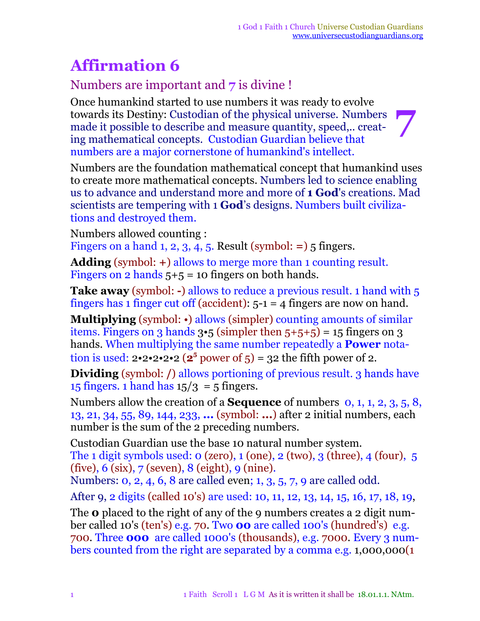# **Affirmation 6**

### Numbers are important and **7** is divine !

Once humankind started to use numbers it was ready to evolve towards its Destiny: Custodian of the physical universe. Numbers made it possible to describe and measure quantity, speed,.. creating mathematical concepts. Custodian Guardian believe that numbers are a major cornerstone of humankind's intellect. **7**

Numbers are the foundation mathematical concept that humankind uses to create more mathematical concepts. Numbers led to science enabling us to advance and understand more and more of **1 God**'s creations. Mad scientists are tempering with 1 **God**'s designs. Numbers built civilizations and destroyed them.

Numbers allowed counting :

Fingers on a hand 1, 2, 3,  $\overline{4}$ , 5. Result (symbol: =) 5 fingers.

**Adding** (symbol: **+**) allows to merge more than 1 counting result. Fingers on 2 hands  $5+5 = 10$  fingers on both hands.

**Take away** (symbol: **-**) allows to reduce a previous result. 1 hand with 5 fingers has 1 finger cut off (accident):  $5-1 = 4$  fingers are now on hand.

**Multiplying** (symbol: •) allows (simpler) counting amounts of similar items. Fingers on 3 hands  $3.5$  (simpler then  $5+5+5$ ) = 15 fingers on 3 hands. When multiplying the same number repeatedly a **Power** notation is used:  $2 \cdot 2 \cdot 2 \cdot 2 \cdot 2$  ( $2^5$  power of 5) = 32 the fifth power of 2.

**Dividing** (symbol: */*) allows portioning of previous result. 3 hands have 15 fingers. 1 hand has  $15/3 = 5$  fingers.

Numbers allow the creation of a **Sequence** of numbers 0, 1, 1, 2, 3, 5, 8, 13, 21, 34, 55, 89, 144, 233, **...** (symbol: **...**) after 2 initial numbers, each number is the sum of the 2 preceding numbers.

Custodian Guardian use the base 10 natural number system. The 1 digit symbols used:  $\sigma$  (zero),  $\sigma$  (one),  $\sigma$  (two),  $\sigma$  (three),  $\sigma$  (four),  $\sigma$ (five), 6 (six), 7 (seven), 8 (eight), 9 (nine).

Numbers: 0, 2, 4, 6, 8 are called even; 1, 3, 5, 7, 9 are called odd.

After 9, 2 digits (called 10's) are used: 10, 11, 12, 13, 14, 15, 16, 17, 18, 19,

The **0** placed to the right of any of the 9 numbers creates a 2 digit number called 10's (ten's) e.g. 70. Two **00** are called 100's (hundred's) e.g. 700. Three **000** are called 1000's (thousands), e.g. 7000. Every 3 numbers counted from the right are separated by a comma e.g. 1,000,000(1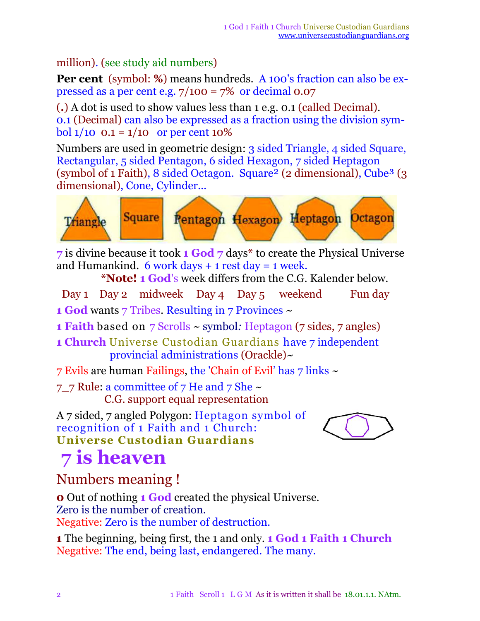#### million). (see study aid numbers)

**Per cent** (symbol: **%**) means hundreds. A 100's fraction can also be expressed as a per cent e.g.  $7/100 = 7\%$  or decimal 0.07

(**.**) A dot is used to show values less than 1 e.g. 0.1 (called Decimal). 0.1 (Decimal) can also be expressed as a fraction using the division symbol  $1/10$  0.1 =  $1/10$  or per cent 10%

Numbers are used in geometric design: 3 sided Triangle, 4 sided Square, Rectangular, 5 sided Pentagon, 6 sided Hexagon, 7 sided Heptagon (symbol of 1 Faith), 8 sided Octagon. Square<sup>2</sup> (2 dimensional), Cube<sup>3</sup> (3) dimensional), Cone, Cylinder...



**7** is divine because it took **1 God 7** days**\*** to create the Physical Universe and Humankind. 6 work days  $+1$  rest day = 1 week.

**\*Note! 1 God**'s week differs from the C.G. Kalender below.

Day 1 Day 2 midweek Day 4 Day 5 weekend Fun day

**1 God** wants 7 Tribes. Resulting in 7 Provinces *~*

**1 Faith** based on 7 Scrolls *~* symbol*:* Heptagon (7 sides, 7 angles)

- **1 Church** Universe Custodian Guardians have 7 independent provincial administrations (Orackle)*~*
- 7 Evils are human Failings, the 'Chain of Evil' has 7 links ~

7\_7 Rule: a committee of 7 He and 7 She  $\sim$ C.G. support equal representation

A 7 sided, 7 angled Polygon: Heptagon symbol of recognition of 1 Faith and 1 Church: **Universe Custodian Guardians**



# **7 is heaven**

Numbers meaning !

**0** Out of nothing **1 God** created the physical Universe. Zero is the number of creation. Negative: Zero is the number of destruction.

**1** The beginning, being first, the 1 and only. **1 God 1 Faith 1 Church** Negative: The end, being last, endangered. The many.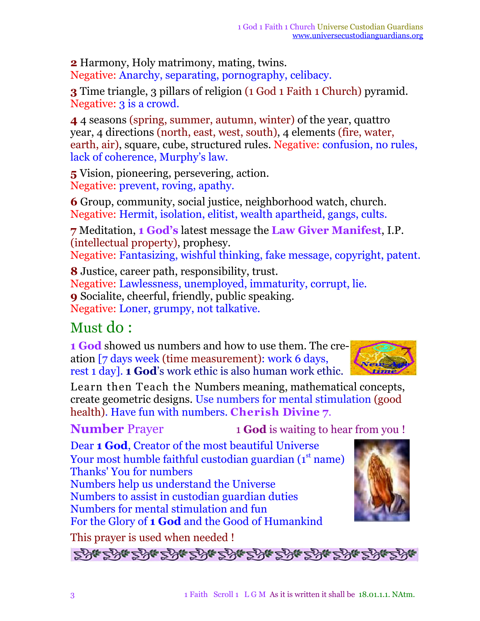**2** Harmony, Holy matrimony, mating, twins. Negative: Anarchy, separating, pornography, celibacy.

**3** Time triangle, 3 pillars of religion (1 God 1 Faith 1 Church) pyramid. Negative: 3 is a crowd.

**4** 4 seasons (spring, summer, autumn, winter) of the year, quattro year, 4 directions (north, east, west, south), 4 elements (fire, water, earth, air), square, cube, structured rules. Negative: confusion, no rules, lack of coherence, Murphy's law.

**5** Vision, pioneering, persevering, action. Negative: prevent, roving, apathy.

**6** Group, community, social justice, neighborhood watch, church. Negative: Hermit, isolation, elitist, wealth apartheid, gangs, cults.

**7** Meditation, **1 God's** latest message the **Law Giver Manifest**, I.P. (intellectual property), prophesy.

Negative: Fantasizing, wishful thinking, fake message, copyright, patent.

**8** Justice, career path, responsibility, trust. Negative: Lawlessness, unemployed, immaturity, corrupt, lie. **9** Socialite, cheerful, friendly, public speaking. Negative: Loner, grumpy, not talkative.

## Must do :

**1 God** showed us numbers and how to use them. The creation [7 days week (time measurement): work 6 days, rest 1 day]. **1 God**'s work ethic is also human work ethic.



Learn then Teach the Numbers meaning, mathematical concepts, create geometric designs. Use numbers for mental stimulation (good health). Have fun with numbers. **Cherish Divine 7**.

**Number** Prayer 1 **God** is waiting to hear from you !

Dear **1 God**, Creator of the most beautiful Universe Your most humble faithful custodian guardian (1<sup>st</sup> name) Thanks' You for numbers Numbers help us understand the Universe Numbers to assist in custodian guardian duties Numbers for mental stimulation and fun For the Glory of **1 God** and the Good of Humankind



This prayer is used when needed !